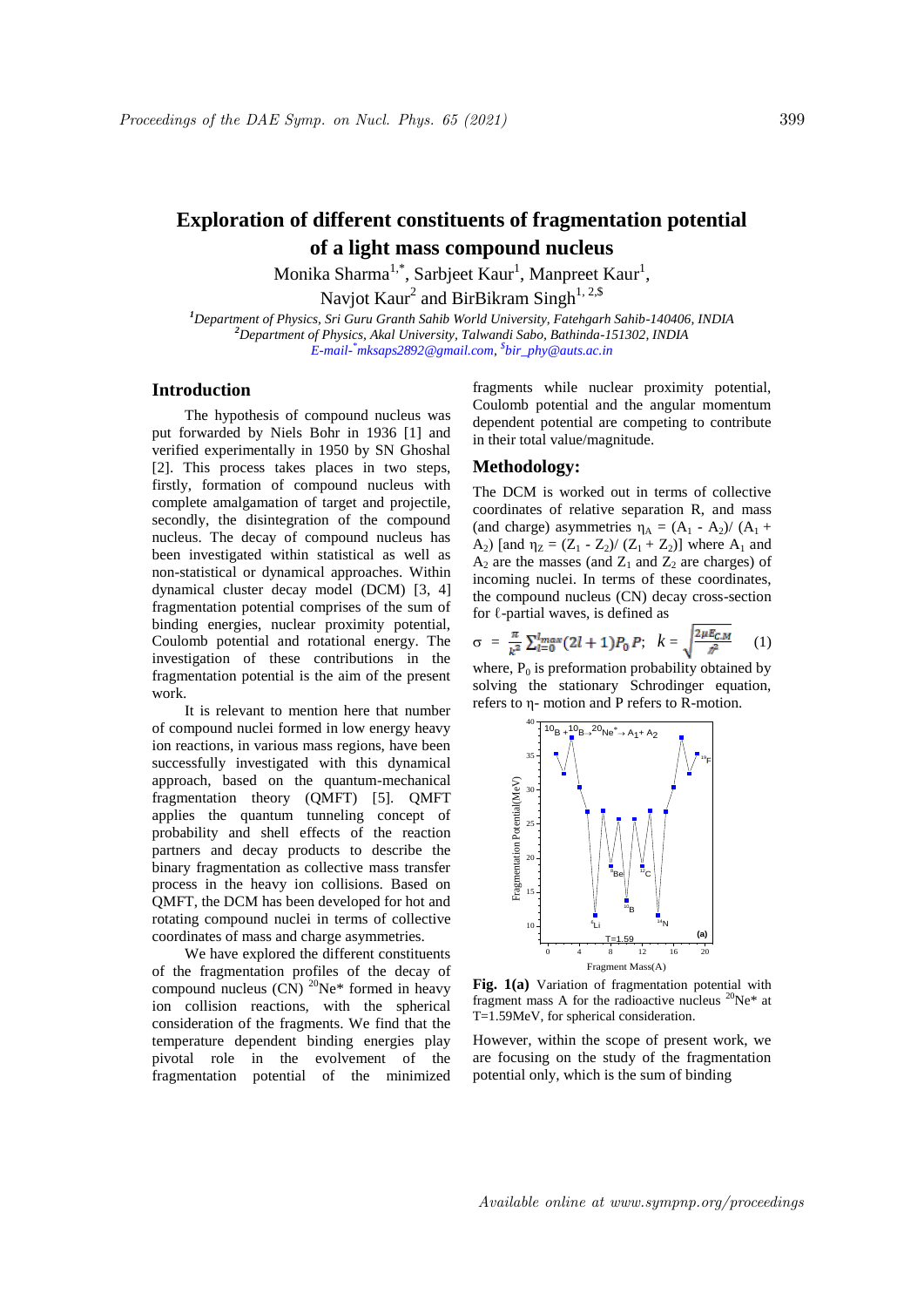## **Exploration of different constituents of fragmentation potential of a light mass compound nucleus**

Monika Sharma<sup>1,\*</sup>, Sarbjeet Kaur<sup>1</sup>, Manpreet Kaur<sup>1</sup>, Navjot Kaur<sup>2</sup> and BirBikram Singh<sup>1, 2,\$</sup>

*<sup>1</sup>Department of Physics, Sri Guru Granth Sahib World University, Fatehgarh Sahib-140406, INDIA <sup>2</sup>Department of Physics, Akal University, Talwandi Sabo, Bathinda-151302, INDIA E-mail- \*mksaps2892@gmail.com, \$ bir\_phy@auts.ac.in*

## **Introduction**

The hypothesis of compound nucleus was put forwarded by Niels Bohr in 1936 [1] and verified experimentally in 1950 by SN Ghoshal [2]. This process takes places in two steps, firstly, formation of compound nucleus with complete amalgamation of target and projectile, secondly, the disintegration of the compound nucleus. The decay of compound nucleus has been investigated within statistical as well as non-statistical or dynamical approaches. Within dynamical cluster decay model (DCM) [3, 4] fragmentation potential comprises of the sum of binding energies, nuclear proximity potential, Coulomb potential and rotational energy. The investigation of these contributions in the fragmentation potential is the aim of the present work.

It is relevant to mention here that number of compound nuclei formed in low energy heavy ion reactions, in various mass regions, have been successfully investigated with this dynamical approach, based on the quantum-mechanical fragmentation theory (QMFT) [5]. QMFT applies the quantum tunneling concept of probability and shell effects of the reaction partners and decay products to describe the binary fragmentation as collective mass transfer process in the heavy ion collisions. Based on QMFT, the DCM has been developed for hot and rotating compound nuclei in terms of collective coordinates of mass and charge asymmetries.

We have explored the different constituents of the fragmentation profiles of the decay of compound nucleus  $(CN)^{20}Ne^*$  formed in heavy ion collision reactions, with the spherical consideration of the fragments. We find that the temperature dependent binding energies play pivotal role in the evolvement of the fragmentation potential of the minimized

fragments while nuclear proximity potential, Coulomb potential and the angular momentum dependent potential are competing to contribute in their total value/magnitude.

## **Methodology:**

The DCM is worked out in terms of collective coordinates of relative separation R, and mass (and charge) asymmetries  $\eta_A = (A_1 - A_2)/(A_1 +$ A<sub>2</sub>) [and  $\eta_Z = (Z_1 - Z_2)/(Z_1 + Z_2)$ ] where A<sub>1</sub> and  $A_2$  are the masses (and  $Z_1$  and  $Z_2$  are charges) of incoming nuclei. In terms of these coordinates, the compound nucleus (CN) decay cross-section for  $\ell$ -partial waves, is defined as

$$
\sigma = \frac{\pi}{k^2} \sum_{l=0}^{l_{max}} (2l+1) P_0 P; \quad k = \sqrt{\frac{2\mu E_{CM}}{\lambda^2}} \tag{1}
$$

where,  $P_0$  is preformation probability obtained by solving the stationary Schrodinger equation, refers to η- motion and P refers to R-motion.



**Fig. 1(a)** Variation of fragmentation potential with fragment mass A for the radioactive nucleus  $20Ne*$  at T=1.59MeV, for spherical consideration.

However, within the scope of present work, we are focusing on the study of the fragmentation potential only, which is the sum of binding